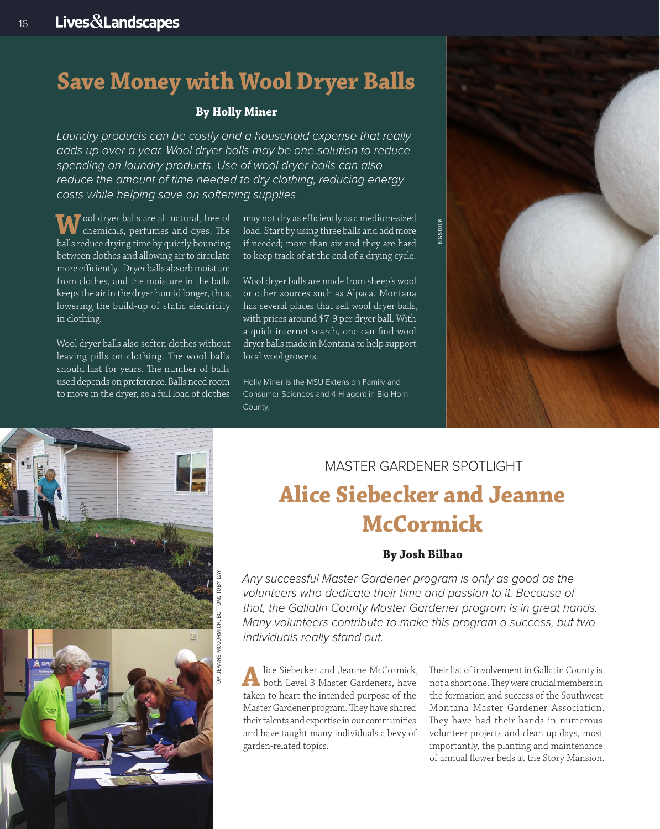# **Save Money with Wool Dryer Balls**

# **By Holly Miner**

*Laundry products can be costly and a household expense that really adds up over a year. Wool dryer balls may be one solution to reduce spending on laundry products. Use of wool dryer balls can also reduce the amount of time needed to dry clothing, reducing energy costs while helping save on softening supplies.* 

**W**ool dryer balls are all natural, free of chemicals, perfumes and dyes. The balls reduce drying time by quietly bouncing between clothes and allowing air to circulate more efficiently. Dryer balls absorb moisture from clothes, and the moisture in the balls keeps the air in the dryer humid longer, thus, lowering the build-up of static electricity in clothing.

Wool dryer balls also soften clothes without leaving pills on clothing. The wool balls should last for years. The number of balls used depends on preference. Balls need room to move in the dryer, so a full load of clothes

may not dry as efficiently as a medium-sized load. Start by using three balls and add more if needed; more than six and they are hard to keep track of at the end of a drying cycle.

Wool dryer balls are made from sheep's wool or other sources such as Alpaca. Montana has several places that sell wool dryer balls, with prices around \$7-9 per dryer ball. With a quick internet search, one can find wool dryer balls made in Montana to help support local wool growers.

Holly Miner is the MSU Extension Family and Consumer Sciences and 4-H agent in Big Horn County.



# TOP: JEANNE MCCORMICK, BOTTOM: TOBY DAY

# MASTER GARDENER SPOTLIGHT **Alice Siebecker and Jeanne McCormick**

# **By Josh Bilbao**

*Any successful Master Gardener program is only as good as the volunteers who dedicate their time and passion to it. Because of that, the Gallatin County Master Gardener program is in great hands. Many volunteers contribute to make this program a success, but two individuals really stand out.* 

**A** lice Siebecker and Jeanne McCormick,<br>
both Level 3 Master Gardeners, have taken to heart the intended purpose of the Master Gardener program. They have shared their talents and expertise in our communities and have taught many individuals a bevy of garden-related topics.

Their list of involvement in Gallatin County is not a short one. They were crucial members in the formation and success of the Southwest Montana Master Gardener Association. They have had their hands in numerous volunteer projects and clean up days, most importantly, the planting and maintenance of annual flower beds at the Story Mansion.